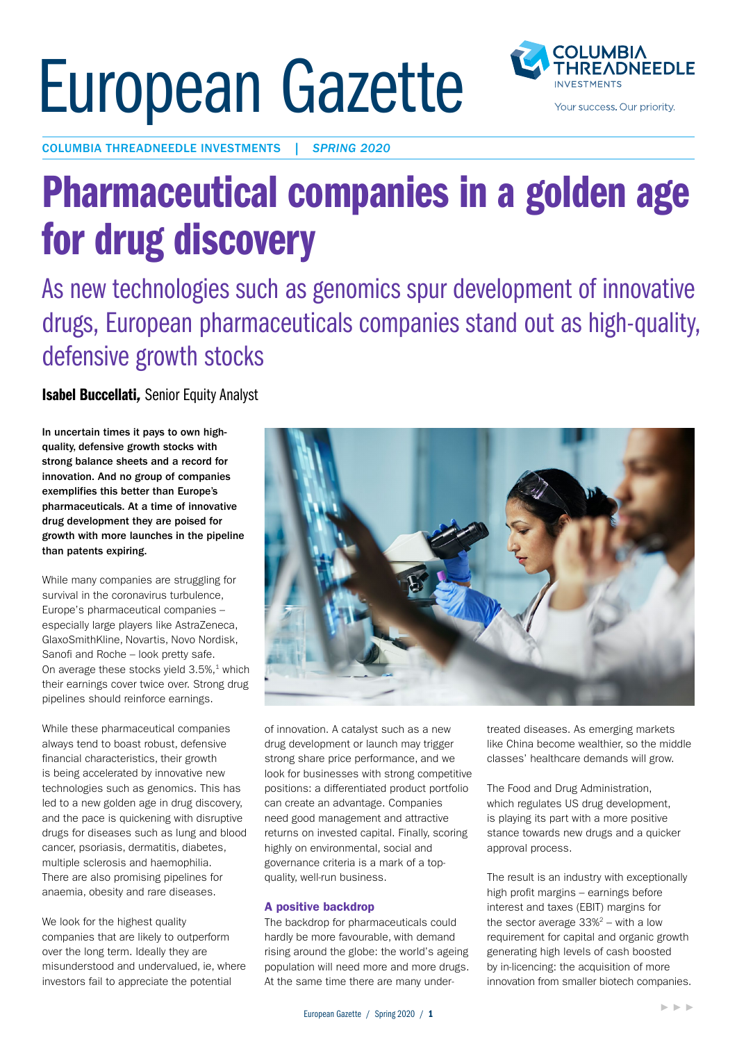# European Gazette



COLUMBIA THREADNEEDLE INVESTMENTS | *SPRING 2020*

## Pharmaceutical companies in a golden age for drug discovery

As new technologies such as genomics spur development of innovative drugs, European pharmaceuticals companies stand out as high-quality, defensive growth stocks

Isabel Buccellati*,* Senior Equity Analyst

In uncertain times it pays to own highquality, defensive growth stocks with strong balance sheets and a record for innovation. And no group of companies exemplifies this better than Europe's pharmaceuticals. At a time of innovative drug development they are poised for growth with more launches in the pipeline than patents expiring.

While many companies are struggling for survival in the coronavirus turbulence, Europe's pharmaceutical companies – especially large players like AstraZeneca, GlaxoSmithKline, Novartis, Novo Nordisk, Sanofi and Roche – look pretty safe. On average these stocks yield  $3.5\%,$ <sup>1</sup> which their earnings cover twice over. Strong drug pipelines should reinforce earnings.

While these pharmaceutical companies always tend to boast robust, defensive financial characteristics, their growth is being accelerated by innovative new technologies such as genomics. This has led to a new golden age in drug discovery, and the pace is quickening with disruptive drugs for diseases such as lung and blood cancer, psoriasis, dermatitis, diabetes, multiple sclerosis and haemophilia. There are also promising pipelines for anaemia, obesity and rare diseases.

We look for the highest quality companies that are likely to outperform over the long term. Ideally they are misunderstood and undervalued, ie, where investors fail to appreciate the potential



of innovation. A catalyst such as a new drug development or launch may trigger strong share price performance, and we look for businesses with strong competitive positions: a differentiated product portfolio can create an advantage. Companies need good management and attractive returns on invested capital. Finally, scoring highly on environmental, social and governance criteria is a mark of a topquality, well-run business.

#### A positive backdrop

The backdrop for pharmaceuticals could hardly be more favourable, with demand rising around the globe: the world's ageing population will need more and more drugs. At the same time there are many undertreated diseases. As emerging markets like China become wealthier, so the middle classes' healthcare demands will grow.

The Food and Drug Administration, which regulates US drug development, is playing its part with a more positive stance towards new drugs and a quicker approval process.

The result is an industry with exceptionally high profit margins – earnings before interest and taxes (EBIT) margins for the sector average  $33\%^2$  – with a low requirement for capital and organic growth generating high levels of cash boosted by in-licencing: the acquisition of more innovation from smaller biotech companies.